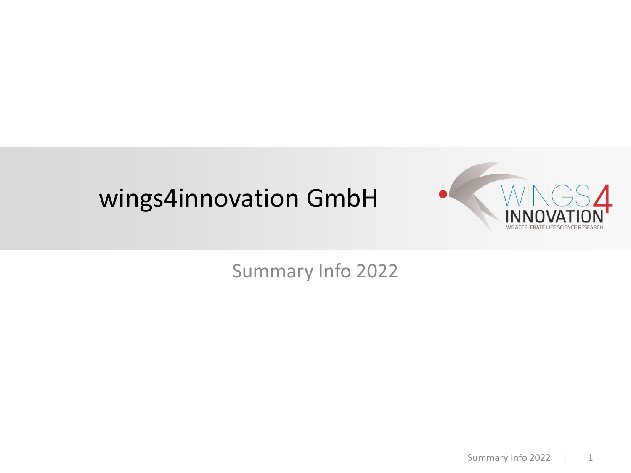# wings4innovation GmbH



## Summary Info 2022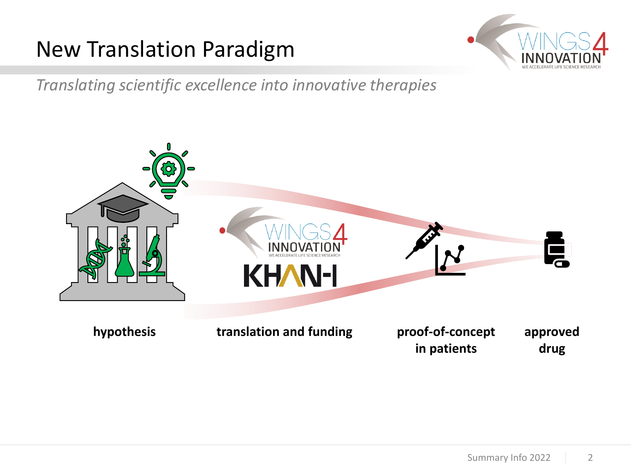## New Translation Paradigm



*Translating scientific excellence into innovative therapies*

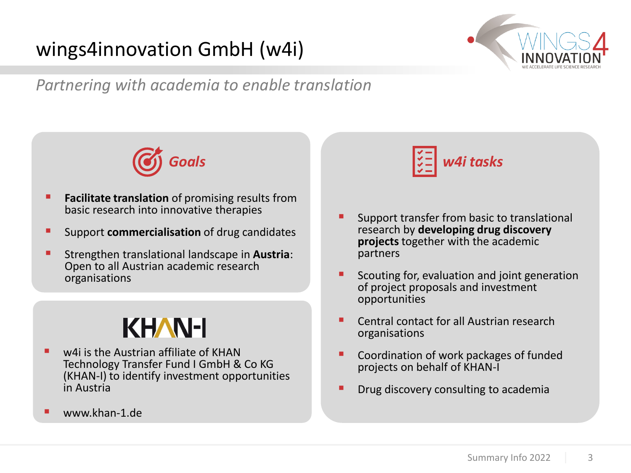## wings4innovation GmbH (w4i)



### *Partnering with academia to enable translation*



- **EXECTE:** Facilitate translation of promising results from basic research into innovative therapies
- Support **commercialisation** of drug candidates
- **E** Strengthen translational landscape in **Austria**: Open to all Austrian academic research organisations

# **KHAN-I**

- w4i is the Austrian affiliate of KHAN Technology Transfer Fund I GmbH & Co KG (KHAN-I) to identify investment opportunities in Austria
- $\blacksquare$  www.khan-1.de



- Support transfer from basic to translational research by **developing drug discovery projects** together with the academic partners
- Scouting for, evaluation and joint generation of project proposals and investment opportunities
- Central contact for all Austrian research organisations
- Coordination of work packages of funded projects on behalf of KHAN-I
- **Drug discovery consulting to academia**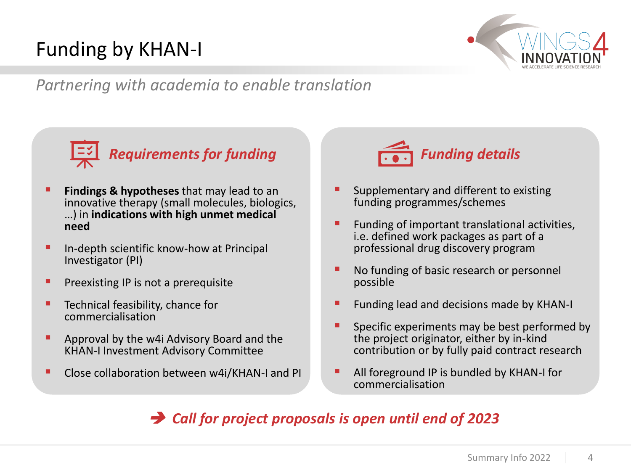## Funding by KHAN-I



*Partnering with academia to enable translation*



- **Findings & hypotheses** that may lead to an innovative therapy (small molecules, biologics, …) in **indications with high unmet medical need**
- In-depth scientific know-how at Principal Investigator (PI)
- **•** Preexisting IP is not a prerequisite
- **E** Technical feasibility, chance for commercialisation
- **E** Approval by the w4i Advisory Board and the KHAN-I Investment Advisory Committee
- Close collaboration between w4i/KHAN-I and PI



- Supplementary and different to existing funding programmes/schemes
- Funding of important translational activities, i.e. defined work packages as part of a professional drug discovery program
- No funding of basic research or personnel possible
- Funding lead and decisions made by KHAN-I
- Specific experiments may be best performed by the project originator, either by in-kind contribution or by fully paid contract research
- All foreground IP is bundled by KHAN-I for commercialisation

### ➔ *Call for project proposals is open until end of 2023*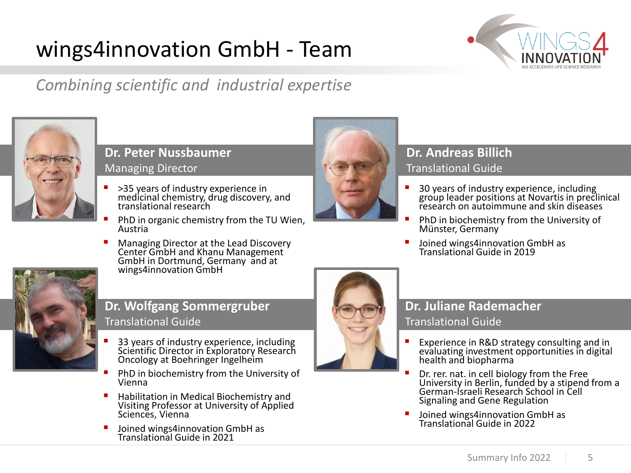# wings4innovation GmbH - Team



## *Combining scientific and industrial expertise*



#### **Dr. Peter Nussbaumer** Managing Director

- >35 years of industry experience in medicinal chemistry, drug discovery, and translational research
- PhD in organic chemistry from the TU Wien, Austria
- Managing Director at the Lead Discovery Center GmbH and Khanu Management GmbH in Dortmund, Germany and at wings4innovation GmbH



#### **Dr. Wolfgang Sommergruber** Translational Guide

- 33 years of industry experience, including Scientific Director in Exploratory Research Oncology at Boehringer Ingelheim
- PhD in biochemistry from the University of Vienna
- Habilitation in Medical Biochemistry and Visiting Professor at University of Applied Sciences, Vienna
- Joined wings4innovation GmbH as Translational Guide in 2021



#### **Dr. Andreas Billich** Translational Guide

- 30 years of industry experience, including group leader positions at Novartis in preclinical research on autoimmune and skin diseases
- PhD in biochemistry from the University of Münster, Germany
- Joined wings4innovation GmbH as Translational Guide in 2019



### **Dr. Juliane Rademacher**

#### Translational Guide

- Experience in R&D strategy consulting and in evaluating investment opportunities in digital health and biopharma
- Dr. rer. nat. in cell biology from the Free University in Berlin, funded by a stipend from a German-Israeli Research School in Cell Signaling and Gene Regulation
- Joined wings4innovation GmbH as Translational Guide in 2022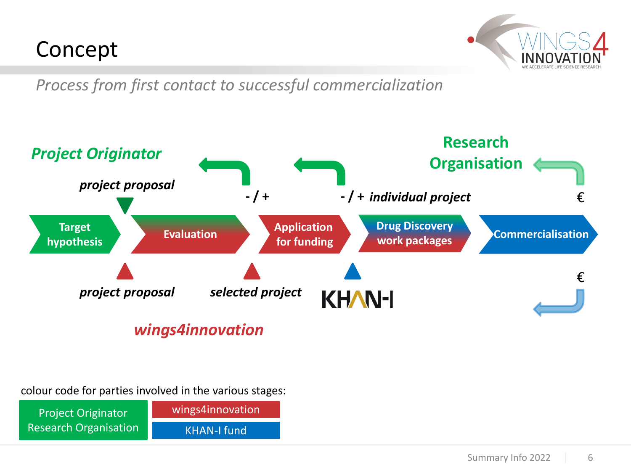## Concept



*Process from first contact to successful commercialization*



### *wings4innovation*

colour code for parties involved in the various stages:

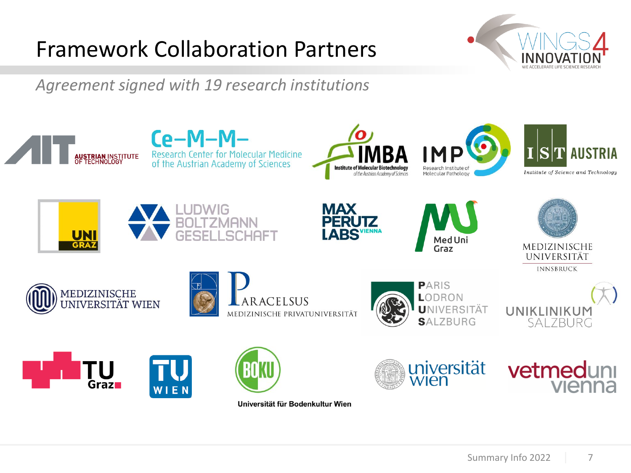# Framework Collaboration Partners



*Agreement signed with 19 research institutions*



Universität für Bodenkultur Wien